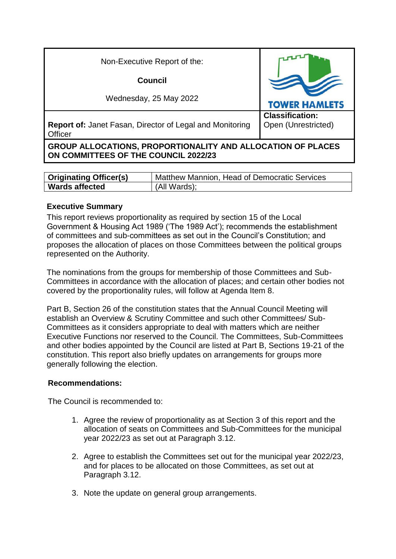| Non-Executive Report of the:                                                                               |                                               |  |  |
|------------------------------------------------------------------------------------------------------------|-----------------------------------------------|--|--|
| <b>Council</b>                                                                                             |                                               |  |  |
| Wednesday, 25 May 2022                                                                                     | <b>TOWER HAMLETS</b>                          |  |  |
| <b>Report of: Janet Fasan, Director of Legal and Monitoring</b><br>Officer                                 | <b>Classification:</b><br>Open (Unrestricted) |  |  |
| <b>GROUP ALLOCATIONS, PROPORTIONALITY AND ALLOCATION OF PLACES</b><br>ON COMMITTEES OF THE COUNCIL 2022/23 |                                               |  |  |

| <b>Originating Officer(s)</b> | Matthew Mannion, Head of Democratic Services |
|-------------------------------|----------------------------------------------|
| <b>Wards affected</b>         | (All Wards);                                 |

#### **Executive Summary**

This report reviews proportionality as required by section 15 of the Local Government & Housing Act 1989 ('The 1989 Act'); recommends the establishment of committees and sub-committees as set out in the Council's Constitution; and proposes the allocation of places on those Committees between the political groups represented on the Authority.

The nominations from the groups for membership of those Committees and Sub-Committees in accordance with the allocation of places; and certain other bodies not covered by the proportionality rules, will follow at Agenda Item 8.

Part B, Section 26 of the constitution states that the Annual Council Meeting will establish an Overview & Scrutiny Committee and such other Committees/ Sub-Committees as it considers appropriate to deal with matters which are neither Executive Functions nor reserved to the Council. The Committees, Sub-Committees and other bodies appointed by the Council are listed at Part B, Sections 19-21 of the constitution. This report also briefly updates on arrangements for groups more generally following the election.

#### **Recommendations:**

The Council is recommended to:

- 1. Agree the review of proportionality as at Section 3 of this report and the allocation of seats on Committees and Sub-Committees for the municipal year 2022/23 as set out at Paragraph 3.12.
- 2. Agree to establish the Committees set out for the municipal year 2022/23, and for places to be allocated on those Committees, as set out at Paragraph 3.12.
- 3. Note the update on general group arrangements.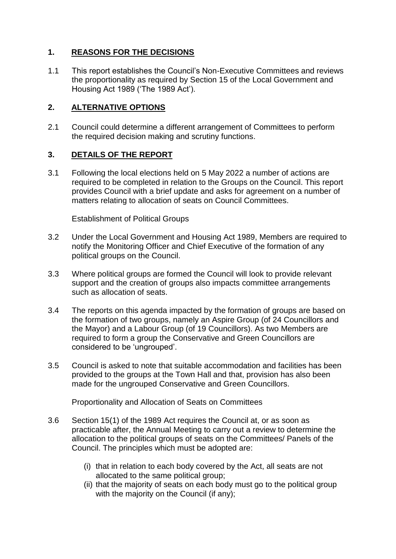# **1. REASONS FOR THE DECISIONS**

1.1 This report establishes the Council's Non-Executive Committees and reviews the proportionality as required by Section 15 of the Local Government and Housing Act 1989 ('The 1989 Act').

# **2. ALTERNATIVE OPTIONS**

2.1 Council could determine a different arrangement of Committees to perform the required decision making and scrutiny functions.

#### **3. DETAILS OF THE REPORT**

3.1 Following the local elections held on 5 May 2022 a number of actions are required to be completed in relation to the Groups on the Council. This report provides Council with a brief update and asks for agreement on a number of matters relating to allocation of seats on Council Committees.

Establishment of Political Groups

- 3.2 Under the Local Government and Housing Act 1989, Members are required to notify the Monitoring Officer and Chief Executive of the formation of any political groups on the Council.
- 3.3 Where political groups are formed the Council will look to provide relevant support and the creation of groups also impacts committee arrangements such as allocation of seats.
- 3.4 The reports on this agenda impacted by the formation of groups are based on the formation of two groups, namely an Aspire Group (of 24 Councillors and the Mayor) and a Labour Group (of 19 Councillors). As two Members are required to form a group the Conservative and Green Councillors are considered to be 'ungrouped'.
- 3.5 Council is asked to note that suitable accommodation and facilities has been provided to the groups at the Town Hall and that, provision has also been made for the ungrouped Conservative and Green Councillors.

Proportionality and Allocation of Seats on Committees

- 3.6 Section 15(1) of the 1989 Act requires the Council at, or as soon as practicable after, the Annual Meeting to carry out a review to determine the allocation to the political groups of seats on the Committees/ Panels of the Council. The principles which must be adopted are:
	- (i) that in relation to each body covered by the Act, all seats are not allocated to the same political group;
	- (ii) that the majority of seats on each body must go to the political group with the majority on the Council (if any):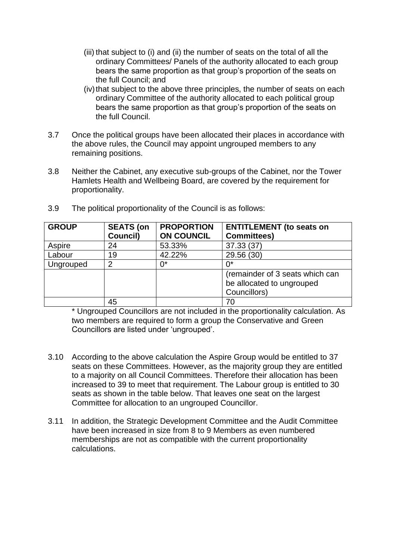- (iii) that subject to (i) and (ii) the number of seats on the total of all the ordinary Committees/ Panels of the authority allocated to each group bears the same proportion as that group's proportion of the seats on the full Council; and
- (iv) that subject to the above three principles, the number of seats on each ordinary Committee of the authority allocated to each political group bears the same proportion as that group's proportion of the seats on the full Council.
- 3.7 Once the political groups have been allocated their places in accordance with the above rules, the Council may appoint ungrouped members to any remaining positions.
- 3.8 Neither the Cabinet, any executive sub-groups of the Cabinet, nor the Tower Hamlets Health and Wellbeing Board, are covered by the requirement for proportionality.

| <b>GROUP</b> | <b>SEATS (on</b> | <b>PROPORTION</b> | <b>ENTITLEMENT</b> (to seats on |
|--------------|------------------|-------------------|---------------------------------|
|              | Council)         | <b>ON COUNCIL</b> | <b>Committees)</b>              |
| Aspire       | 24               | 53.33%            | 37.33 (37)                      |
| Labour       | 19               | 42.22%            | 29.56 (30)                      |
| Ungrouped    | 2                | 0*                | 0*                              |
|              |                  |                   | (remainder of 3 seats which can |
|              |                  |                   | be allocated to ungrouped       |
|              |                  |                   | Councillors)                    |
|              | 45               |                   | 70                              |

3.9 The political proportionality of the Council is as follows:

\* Ungrouped Councillors are not included in the proportionality calculation. As two members are required to form a group the Conservative and Green Councillors are listed under 'ungrouped'.

- 3.10 According to the above calculation the Aspire Group would be entitled to 37 seats on these Committees. However, as the majority group they are entitled to a majority on all Council Committees. Therefore their allocation has been increased to 39 to meet that requirement. The Labour group is entitled to 30 seats as shown in the table below. That leaves one seat on the largest Committee for allocation to an ungrouped Councillor.
- 3.11 In addition, the Strategic Development Committee and the Audit Committee have been increased in size from 8 to 9 Members as even numbered memberships are not as compatible with the current proportionality calculations.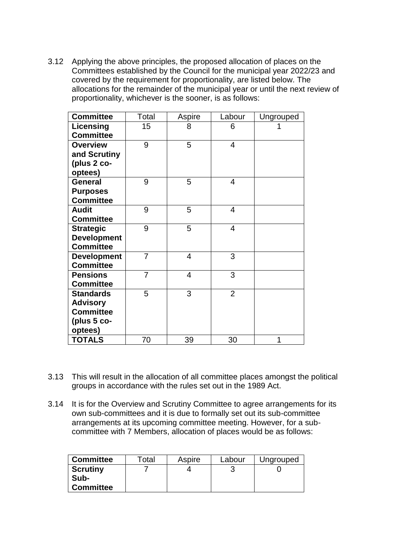3.12 Applying the above principles, the proposed allocation of places on the Committees established by the Council for the municipal year 2022/23 and covered by the requirement for proportionality, are listed below. The allocations for the remainder of the municipal year or until the next review of proportionality, whichever is the sooner, is as follows:

| <b>Committee</b>                                                                    | Total          | Aspire         | Labour         | Ungrouped |
|-------------------------------------------------------------------------------------|----------------|----------------|----------------|-----------|
| Licensing<br><b>Committee</b>                                                       | 15             | 8              | 6              |           |
| <b>Overview</b><br>and Scrutiny<br>(plus 2 co-<br>optees)                           | 9              | 5              | 4              |           |
| <b>General</b><br><b>Purposes</b><br><b>Committee</b>                               | 9              | 5              | 4              |           |
| <b>Audit</b><br><b>Committee</b>                                                    | 9              | 5              | 4              |           |
| <b>Strategic</b><br><b>Development</b><br><b>Committee</b>                          | 9              | 5              | 4              |           |
| <b>Development</b><br><b>Committee</b>                                              | $\overline{7}$ | $\overline{4}$ | 3              |           |
| <b>Pensions</b><br><b>Committee</b>                                                 | $\overline{7}$ | $\overline{4}$ | 3              |           |
| <b>Standards</b><br><b>Advisory</b><br><b>Committee</b><br>(plus $5$ co-<br>optees) | 5              | 3              | $\overline{2}$ |           |
| <b>TOTALS</b>                                                                       | 70             | 39             | 30             | 1         |

- 3.13 This will result in the allocation of all committee places amongst the political groups in accordance with the rules set out in the 1989 Act.
- 3.14 It is for the Overview and Scrutiny Committee to agree arrangements for its own sub-committees and it is due to formally set out its sub-committee arrangements at its upcoming committee meeting. However, for a subcommittee with 7 Members, allocation of places would be as follows:

| <b>Committee</b>                            | Total | Aspire | Labour | Ungrouped |
|---------------------------------------------|-------|--------|--------|-----------|
| <b>Scrutiny</b><br>Sub-<br><b>Committee</b> |       |        |        |           |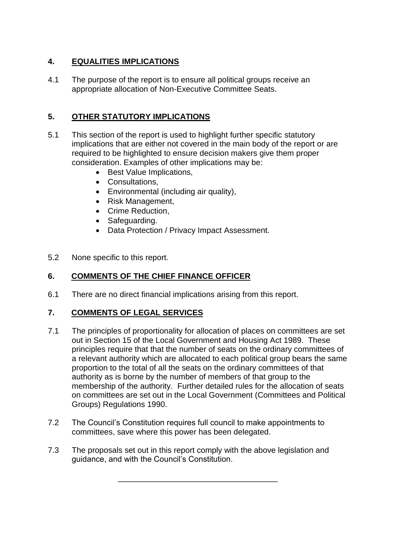# **4. EQUALITIES IMPLICATIONS**

4.1 The purpose of the report is to ensure all political groups receive an appropriate allocation of Non-Executive Committee Seats.

# **5. OTHER STATUTORY IMPLICATIONS**

- 5.1 This section of the report is used to highlight further specific statutory implications that are either not covered in the main body of the report or are required to be highlighted to ensure decision makers give them proper consideration. Examples of other implications may be:
	- Best Value Implications.
	- Consultations,
	- Environmental (including air quality),
	- Risk Management,
	- Crime Reduction,
	- Safeguarding.
	- Data Protection / Privacy Impact Assessment.
- 5.2 None specific to this report.

### **6. COMMENTS OF THE CHIEF FINANCE OFFICER**

6.1 There are no direct financial implications arising from this report.

#### **7. COMMENTS OF LEGAL SERVICES**

- 7.1 The principles of proportionality for allocation of places on committees are set out in Section 15 of the Local Government and Housing Act 1989. These principles require that that the number of seats on the ordinary committees of a relevant authority which are allocated to each political group bears the same proportion to the total of all the seats on the ordinary committees of that authority as is borne by the number of members of that group to the membership of the authority. Further detailed rules for the allocation of seats on committees are set out in the Local Government (Committees and Political Groups) Regulations 1990.
- 7.2 The Council's Constitution requires full council to make appointments to committees, save where this power has been delegated.
- 7.3 The proposals set out in this report comply with the above legislation and guidance, and with the Council's Constitution.

\_\_\_\_\_\_\_\_\_\_\_\_\_\_\_\_\_\_\_\_\_\_\_\_\_\_\_\_\_\_\_\_\_\_\_\_